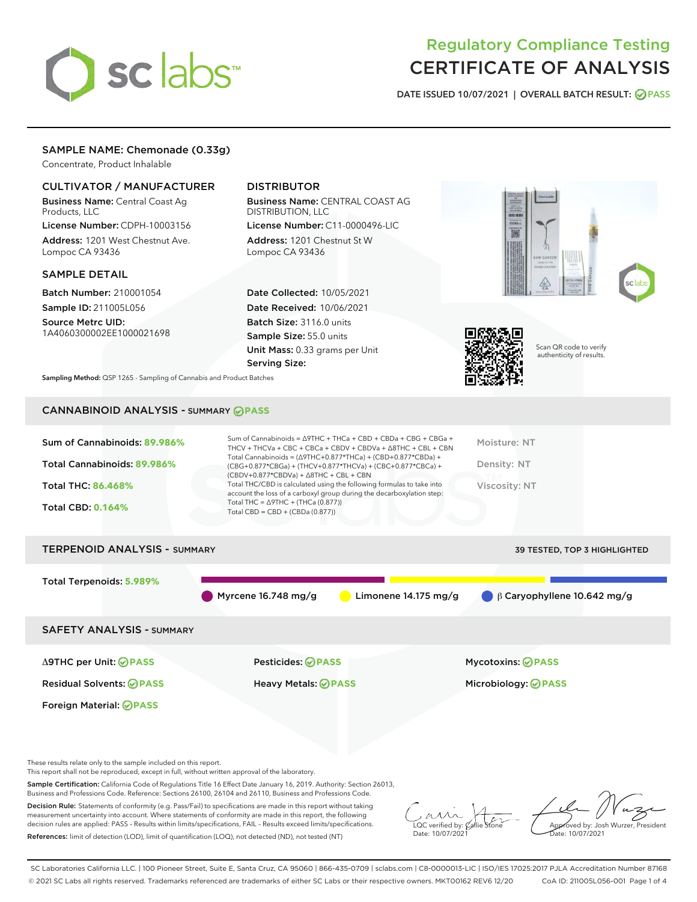# sclabs<sup>\*</sup>

# Regulatory Compliance Testing CERTIFICATE OF ANALYSIS

DATE ISSUED 10/07/2021 | OVERALL BATCH RESULT: @ PASS

# SAMPLE NAME: Chemonade (0.33g)

Concentrate, Product Inhalable

## CULTIVATOR / MANUFACTURER

Business Name: Central Coast Ag Products, LLC

License Number: CDPH-10003156 Address: 1201 West Chestnut Ave. Lompoc CA 93436

#### SAMPLE DETAIL

Batch Number: 210001054 Sample ID: 211005L056

Source Metrc UID: 1A4060300002EE1000021698

# DISTRIBUTOR

Business Name: CENTRAL COAST AG DISTRIBUTION, LLC License Number: C11-0000496-LIC

Address: 1201 Chestnut St W Lompoc CA 93436

Date Collected: 10/05/2021 Date Received: 10/06/2021 Batch Size: 3116.0 units Sample Size: 55.0 units Unit Mass: 0.33 grams per Unit Serving Size:





Scan QR code to verify authenticity of results.

Sampling Method: QSP 1265 - Sampling of Cannabis and Product Batches

# CANNABINOID ANALYSIS - SUMMARY **PASS**

| Sum of Cannabinoids: 89.986%        | Sum of Cannabinoids = $\triangle$ 9THC + THCa + CBD + CBDa + CBG + CBGa +<br>THCV + THCVa + CBC + CBCa + CBDV + CBDVa + $\Delta$ 8THC + CBL + CBN                                    | Moisture: NT                      |
|-------------------------------------|--------------------------------------------------------------------------------------------------------------------------------------------------------------------------------------|-----------------------------------|
| Total Cannabinoids: 89.986%         | Total Cannabinoids = $(\Delta$ 9THC+0.877*THCa) + (CBD+0.877*CBDa) +<br>(CBG+0.877*CBGa) + (THCV+0.877*THCVa) + (CBC+0.877*CBCa) +<br>$(CBDV+0.877*CBDVa) + \Delta 8THC + CBL + CBN$ | Density: NT                       |
| <b>Total THC: 86.468%</b>           | Total THC/CBD is calculated using the following formulas to take into<br>account the loss of a carboxyl group during the decarboxylation step:                                       | Viscosity: NT                     |
| <b>Total CBD: 0.164%</b>            | Total THC = $\triangle$ 9THC + (THCa (0.877))<br>Total CBD = $CBD + (CBDa (0.877))$                                                                                                  |                                   |
| <b>TERPENOID ANALYSIS - SUMMARY</b> |                                                                                                                                                                                      | 39 TESTED, TOP 3 HIGHLIGHTED      |
| Total Terpenoids: 5.989%            |                                                                                                                                                                                      |                                   |
|                                     | Myrcene $16.748$ mg/g<br>Limonene $14.175 \text{ mg/g}$                                                                                                                              | $\beta$ Caryophyllene 10.642 mg/g |
| <b>SAFETY ANALYSIS - SUMMARY</b>    |                                                                                                                                                                                      |                                   |
| ∆9THC per Unit: ⊘PASS               | Pesticides: ⊘PASS                                                                                                                                                                    | Mycotoxins: ⊘PASS                 |
| <b>Residual Solvents: ⊘PASS</b>     | <b>Heavy Metals: ⊘ PASS</b>                                                                                                                                                          | Microbiology: <b>⊘PASS</b>        |
| Foreign Material: <b>⊘ PASS</b>     |                                                                                                                                                                                      |                                   |

These results relate only to the sample included on this report.

This report shall not be reproduced, except in full, without written approval of the laboratory.

Sample Certification: California Code of Regulations Title 16 Effect Date January 16, 2019. Authority: Section 26013, Business and Professions Code. Reference: Sections 26100, 26104 and 26110, Business and Professions Code.

Decision Rule: Statements of conformity (e.g. Pass/Fail) to specifications are made in this report without taking measurement uncertainty into account. Where statements of conformity are made in this report, the following decision rules are applied: PASS – Results within limits/specifications, FAIL – Results exceed limits/specifications. References: limit of detection (LOD), limit of quantification (LOQ), not detected (ND), not tested (NT)

 $\sim$  CC verified by:  $\mathscr{C}$  a Date: 10/07/2021

Approved by: Josh Wurzer, President ate: 10/07/2021

SC Laboratories California LLC. | 100 Pioneer Street, Suite E, Santa Cruz, CA 95060 | 866-435-0709 | sclabs.com | C8-0000013-LIC | ISO/IES 17025:2017 PJLA Accreditation Number 87168 © 2021 SC Labs all rights reserved. Trademarks referenced are trademarks of either SC Labs or their respective owners. MKT00162 REV6 12/20 CoA ID: 211005L056-001 Page 1 of 4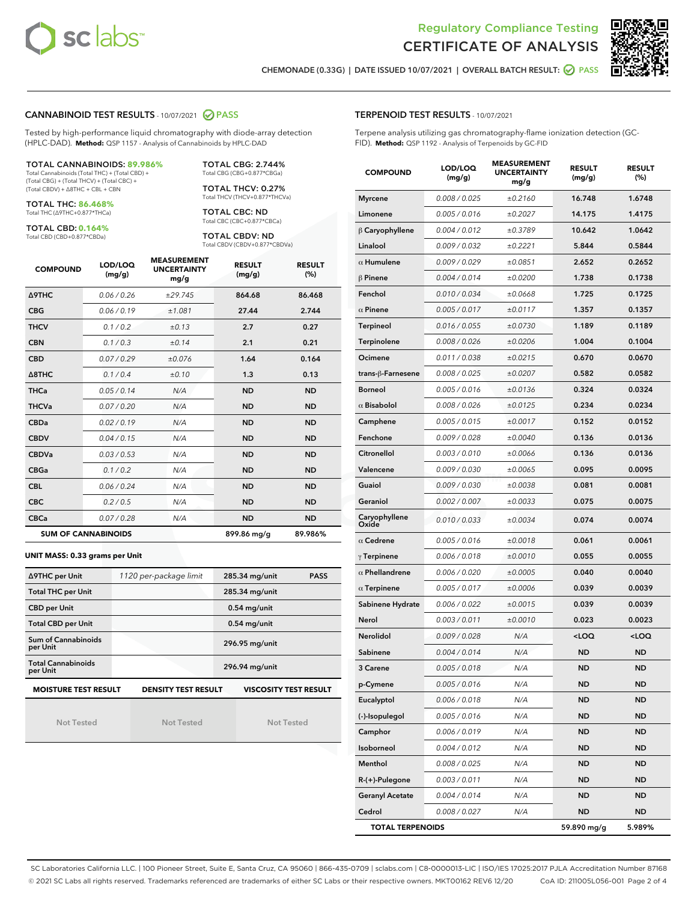



CHEMONADE (0.33G) | DATE ISSUED 10/07/2021 | OVERALL BATCH RESULT: **○** PASS

#### CANNABINOID TEST RESULTS - 10/07/2021 2 PASS

Tested by high-performance liquid chromatography with diode-array detection (HPLC-DAD). **Method:** QSP 1157 - Analysis of Cannabinoids by HPLC-DAD

#### TOTAL CANNABINOIDS: **89.986%**

Total Cannabinoids (Total THC) + (Total CBD) + (Total CBG) + (Total THCV) + (Total CBC) + (Total CBDV) + ∆8THC + CBL + CBN

TOTAL THC: **86.468%** Total THC (∆9THC+0.877\*THCa)

TOTAL CBD: **0.164%**

Total CBD (CBD+0.877\*CBDa)

TOTAL CBG: 2.744% Total CBG (CBG+0.877\*CBGa)

TOTAL THCV: 0.27% Total THCV (THCV+0.877\*THCVa)

TOTAL CBC: ND Total CBC (CBC+0.877\*CBCa)

TOTAL CBDV: ND Total CBDV (CBDV+0.877\*CBDVa)

| <b>COMPOUND</b>            | LOD/LOQ<br>(mg/g) | <b>MEASUREMENT</b><br><b>UNCERTAINTY</b><br>mg/g | <b>RESULT</b><br>(mg/g) | <b>RESULT</b><br>(%) |
|----------------------------|-------------------|--------------------------------------------------|-------------------------|----------------------|
| Δ9THC                      | 0.06 / 0.26       | ±29.745                                          | 864.68                  | 86.468               |
| <b>CBG</b>                 | 0.06/0.19         | ±1.081                                           | 27.44                   | 2.744                |
| <b>THCV</b>                | 0.1 / 0.2         | ±0.13                                            | 2.7                     | 0.27                 |
| <b>CBN</b>                 | 0.1 / 0.3         | ±0.14                                            | 2.1                     | 0.21                 |
| <b>CBD</b>                 | 0.07/0.29         | ±0.076                                           | 1.64                    | 0.164                |
| $\triangle$ 8THC           | 0.1/0.4           | ±0.10                                            | 1.3                     | 0.13                 |
| <b>THCa</b>                | 0.05/0.14         | N/A                                              | <b>ND</b>               | <b>ND</b>            |
| <b>THCVa</b>               | 0.07/0.20         | N/A                                              | <b>ND</b>               | <b>ND</b>            |
| <b>CBDa</b>                | 0.02/0.19         | N/A                                              | <b>ND</b>               | <b>ND</b>            |
| <b>CBDV</b>                | 0.04/0.15         | N/A                                              | <b>ND</b>               | <b>ND</b>            |
| <b>CBDVa</b>               | 0.03/0.53         | N/A                                              | <b>ND</b>               | <b>ND</b>            |
| <b>CBGa</b>                | 0.1/0.2           | N/A                                              | <b>ND</b>               | <b>ND</b>            |
| <b>CBL</b>                 | 0.06 / 0.24       | N/A                                              | <b>ND</b>               | <b>ND</b>            |
| <b>CBC</b>                 | 0.2 / 0.5         | N/A                                              | <b>ND</b>               | <b>ND</b>            |
| <b>CBCa</b>                | 0.07 / 0.28       | N/A                                              | <b>ND</b>               | <b>ND</b>            |
| <b>SUM OF CANNABINOIDS</b> |                   |                                                  | 899.86 mg/g             | 89.986%              |

#### **UNIT MASS: 0.33 grams per Unit**

| ∆9THC per Unit                        | 1120 per-package limit     | 285.34 mg/unit<br><b>PASS</b> |
|---------------------------------------|----------------------------|-------------------------------|
| <b>Total THC per Unit</b>             |                            | 285.34 mg/unit                |
| <b>CBD per Unit</b>                   |                            | $0.54$ mg/unit                |
| <b>Total CBD per Unit</b>             |                            | $0.54$ mg/unit                |
| Sum of Cannabinoids<br>per Unit       |                            | 296.95 mg/unit                |
| <b>Total Cannabinoids</b><br>per Unit |                            | 296.94 mg/unit                |
| <b>MOISTURE TEST RESULT</b>           | <b>DENSITY TEST RESULT</b> | <b>VISCOSITY TEST RESULT</b>  |

Not Tested

Not Tested

Not Tested

| <b>TERPENOID TEST RESULTS - 10/07/2021</b> |
|--------------------------------------------|
|                                            |

Terpene analysis utilizing gas chromatography-flame ionization detection (GC-FID). **Method:** QSP 1192 - Analysis of Terpenoids by GC-FID

| <b>COMPOUND</b>         | LOD/LOQ<br>(mg/g) | <b>MEASUREMENT</b><br><b>UNCERTAINTY</b><br>mg/g | <b>RESULT</b><br>(mg/g)                         | <b>RESULT</b><br>(%) |
|-------------------------|-------------------|--------------------------------------------------|-------------------------------------------------|----------------------|
| <b>Myrcene</b>          | 0.008 / 0.025     | ±0.2160                                          | 16.748                                          | 1.6748               |
| Limonene                | 0.005 / 0.016     | ±0.2027                                          | 14.175                                          | 1.4175               |
| $\beta$ Caryophyllene   | 0.004 / 0.012     | ±0.3789                                          | 10.642                                          | 1.0642               |
| Linalool                | 0.009 / 0.032     | ±0.2221                                          | 5.844                                           | 0.5844               |
| $\alpha$ Humulene       | 0.009/0.029       | ±0.0851                                          | 2.652                                           | 0.2652               |
| $\beta$ Pinene          | 0.004 / 0.014     | ±0.0200                                          | 1.738                                           | 0.1738               |
| Fenchol                 | 0.010 / 0.034     | ±0.0668                                          | 1.725                                           | 0.1725               |
| $\alpha$ Pinene         | 0.005 / 0.017     | ±0.0117                                          | 1.357                                           | 0.1357               |
| <b>Terpineol</b>        | 0.016 / 0.055     | ±0.0730                                          | 1.189                                           | 0.1189               |
| Terpinolene             | 0.008 / 0.026     | ±0.0206                                          | 1.004                                           | 0.1004               |
| Ocimene                 | 0.011 / 0.038     | ±0.0215                                          | 0.670                                           | 0.0670               |
| trans-ß-Farnesene       | 0.008 / 0.025     | ±0.0207                                          | 0.582                                           | 0.0582               |
| <b>Borneol</b>          | 0.005 / 0.016     | ±0.0136                                          | 0.324                                           | 0.0324               |
| $\alpha$ Bisabolol      | 0.008 / 0.026     | ±0.0125                                          | 0.234                                           | 0.0234               |
| Camphene                | 0.005 / 0.015     | ±0.0017                                          | 0.152                                           | 0.0152               |
| Fenchone                | 0.009 / 0.028     | ±0.0040                                          | 0.136                                           | 0.0136               |
| Citronellol             | 0.003 / 0.010     | ±0.0066                                          | 0.136                                           | 0.0136               |
| Valencene               | 0.009 / 0.030     | ±0.0065                                          | 0.095                                           | 0.0095               |
| Guaiol                  | 0.009 / 0.030     | ±0.0038                                          | 0.081                                           | 0.0081               |
| Geraniol                | 0.002 / 0.007     | ±0.0033                                          | 0.075                                           | 0.0075               |
| Caryophyllene<br>Oxide  | 0.010 / 0.033     | ±0.0034                                          | 0.074                                           | 0.0074               |
| $\alpha$ Cedrene        | 0.005 / 0.016     | ±0.0018                                          | 0.061                                           | 0.0061               |
| $\gamma$ Terpinene      | 0.006 / 0.018     | ±0.0010                                          | 0.055                                           | 0.0055               |
| $\alpha$ Phellandrene   | 0.006 / 0.020     | ±0.0005                                          | 0.040                                           | 0.0040               |
| $\alpha$ Terpinene      | 0.005 / 0.017     | ±0.0006                                          | 0.039                                           | 0.0039               |
| Sabinene Hydrate        | 0.006 / 0.022     | ±0.0015                                          | 0.039                                           | 0.0039               |
| Nerol                   | 0.003 / 0.011     | ±0.0010                                          | 0.023                                           | 0.0023               |
| <b>Nerolidol</b>        | 0.009 / 0.028     | N/A                                              | <loq< th=""><th><loq< th=""></loq<></th></loq<> | <loq< th=""></loq<>  |
| Sabinene                | 0.004 / 0.014     | N/A                                              | ND                                              | <b>ND</b>            |
| 3 Carene                | 0.005 / 0.018     | N/A                                              | <b>ND</b>                                       | <b>ND</b>            |
| p-Cymene                | 0.005 / 0.016     | N/A                                              | ND                                              | ND                   |
| Eucalyptol              | 0.006 / 0.018     | N/A                                              | ND                                              | ND                   |
| (-)-Isopulegol          | 0.005 / 0.016     | N/A                                              | <b>ND</b>                                       | ND                   |
| Camphor                 | 0.006 / 0.019     | N/A                                              | <b>ND</b>                                       | <b>ND</b>            |
| Isoborneol              | 0.004 / 0.012     | N/A                                              | ND                                              | ND                   |
| Menthol                 | 0.008 / 0.025     | N/A                                              | ND                                              | ND                   |
| R-(+)-Pulegone          | 0.003 / 0.011     | N/A                                              | <b>ND</b>                                       | <b>ND</b>            |
| <b>Geranyl Acetate</b>  | 0.004 / 0.014     | N/A                                              | ND                                              | ND                   |
| Cedrol                  | 0.008 / 0.027     | N/A                                              | <b>ND</b>                                       | ND                   |
| <b>TOTAL TERPENOIDS</b> |                   |                                                  | 59.890 mg/g                                     | 5.989%               |

SC Laboratories California LLC. | 100 Pioneer Street, Suite E, Santa Cruz, CA 95060 | 866-435-0709 | sclabs.com | C8-0000013-LIC | ISO/IES 17025:2017 PJLA Accreditation Number 87168 © 2021 SC Labs all rights reserved. Trademarks referenced are trademarks of either SC Labs or their respective owners. MKT00162 REV6 12/20 CoA ID: 211005L056-001 Page 2 of 4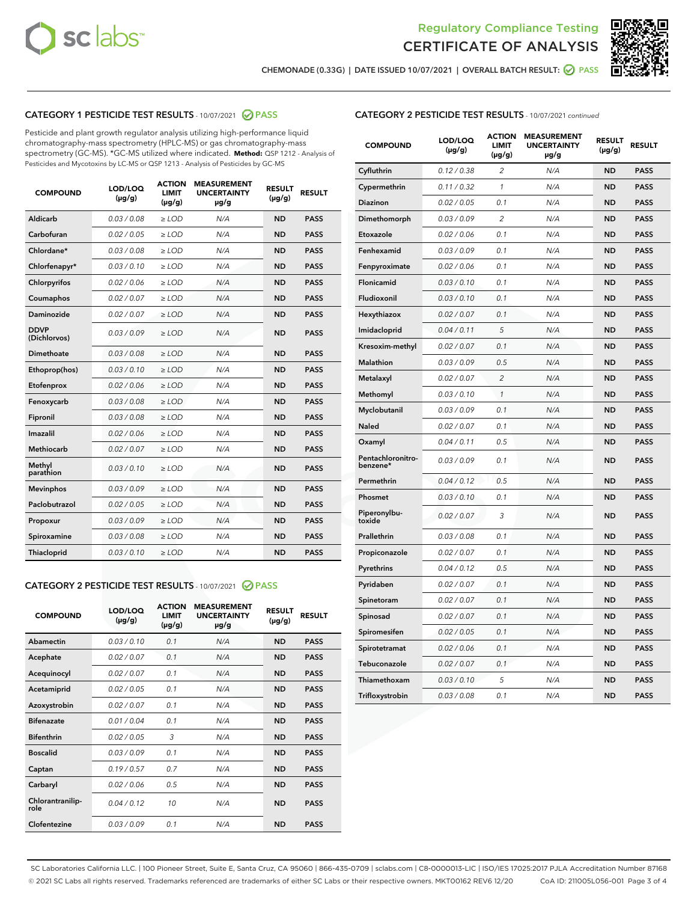



CHEMONADE (0.33G) | DATE ISSUED 10/07/2021 | OVERALL BATCH RESULT: ● PASS

## CATEGORY 1 PESTICIDE TEST RESULTS - 10/07/2021 2 PASS

Pesticide and plant growth regulator analysis utilizing high-performance liquid chromatography-mass spectrometry (HPLC-MS) or gas chromatography-mass spectrometry (GC-MS). \*GC-MS utilized where indicated. **Method:** QSP 1212 - Analysis of Pesticides and Mycotoxins by LC-MS or QSP 1213 - Analysis of Pesticides by GC-MS

| <b>COMPOUND</b>             | LOD/LOQ<br>$(\mu g/g)$ | <b>ACTION</b><br><b>LIMIT</b><br>$(\mu q/q)$ | <b>MEASUREMENT</b><br><b>UNCERTAINTY</b><br>$\mu$ g/g | <b>RESULT</b><br>$(\mu g/g)$ | <b>RESULT</b> |
|-----------------------------|------------------------|----------------------------------------------|-------------------------------------------------------|------------------------------|---------------|
| Aldicarb                    | 0.03 / 0.08            | $\ge$ LOD                                    | N/A                                                   | <b>ND</b>                    | <b>PASS</b>   |
| Carbofuran                  | 0.02/0.05              | $>$ LOD                                      | N/A                                                   | <b>ND</b>                    | <b>PASS</b>   |
| Chlordane*                  | 0.03 / 0.08            | $\ge$ LOD                                    | N/A                                                   | <b>ND</b>                    | <b>PASS</b>   |
| Chlorfenapyr*               | 0.03/0.10              | $\ge$ LOD                                    | N/A                                                   | <b>ND</b>                    | <b>PASS</b>   |
| Chlorpyrifos                | 0.02 / 0.06            | $\ge$ LOD                                    | N/A                                                   | <b>ND</b>                    | <b>PASS</b>   |
| Coumaphos                   | 0.02 / 0.07            | $>$ LOD                                      | N/A                                                   | <b>ND</b>                    | <b>PASS</b>   |
| <b>Daminozide</b>           | 0.02 / 0.07            | $\ge$ LOD                                    | N/A                                                   | <b>ND</b>                    | <b>PASS</b>   |
| <b>DDVP</b><br>(Dichlorvos) | 0.03/0.09              | $\ge$ LOD                                    | N/A                                                   | <b>ND</b>                    | <b>PASS</b>   |
| <b>Dimethoate</b>           | 0.03 / 0.08            | $\ge$ LOD                                    | N/A                                                   | <b>ND</b>                    | <b>PASS</b>   |
| Ethoprop(hos)               | 0.03/0.10              | $\ge$ LOD                                    | N/A                                                   | <b>ND</b>                    | <b>PASS</b>   |
| Etofenprox                  | 0.02 / 0.06            | $\ge$ LOD                                    | N/A                                                   | <b>ND</b>                    | <b>PASS</b>   |
| Fenoxycarb                  | 0.03 / 0.08            | $\ge$ LOD                                    | N/A                                                   | <b>ND</b>                    | <b>PASS</b>   |
| Fipronil                    | 0.03/0.08              | $>$ LOD                                      | N/A                                                   | <b>ND</b>                    | <b>PASS</b>   |
| Imazalil                    | 0.02 / 0.06            | $\ge$ LOD                                    | N/A                                                   | <b>ND</b>                    | <b>PASS</b>   |
| Methiocarb                  | 0.02 / 0.07            | $\ge$ LOD                                    | N/A                                                   | <b>ND</b>                    | <b>PASS</b>   |
| Methyl<br>parathion         | 0.03/0.10              | $>$ LOD                                      | N/A                                                   | <b>ND</b>                    | <b>PASS</b>   |
| <b>Mevinphos</b>            | 0.03/0.09              | $>$ LOD                                      | N/A                                                   | <b>ND</b>                    | <b>PASS</b>   |
| Paclobutrazol               | 0.02 / 0.05            | $\ge$ LOD                                    | N/A                                                   | <b>ND</b>                    | <b>PASS</b>   |
| Propoxur                    | 0.03/0.09              | $\ge$ LOD                                    | N/A                                                   | <b>ND</b>                    | <b>PASS</b>   |
| Spiroxamine                 | 0.03 / 0.08            | $\ge$ LOD                                    | N/A                                                   | <b>ND</b>                    | <b>PASS</b>   |
| <b>Thiacloprid</b>          | 0.03/0.10              | $\ge$ LOD                                    | N/A                                                   | <b>ND</b>                    | <b>PASS</b>   |

#### CATEGORY 2 PESTICIDE TEST RESULTS - 10/07/2021 @ PASS

| <b>COMPOUND</b>          | LOD/LOO<br>$(\mu g/g)$ | <b>ACTION</b><br>LIMIT<br>$(\mu g/g)$ | <b>MEASUREMENT</b><br><b>UNCERTAINTY</b><br>µg/g | <b>RESULT</b><br>$(\mu g/g)$ | <b>RESULT</b> |
|--------------------------|------------------------|---------------------------------------|--------------------------------------------------|------------------------------|---------------|
| Abamectin                | 0.03/0.10              | 0.1                                   | N/A                                              | <b>ND</b>                    | <b>PASS</b>   |
| Acephate                 | 0.02/0.07              | 0.1                                   | N/A                                              | <b>ND</b>                    | <b>PASS</b>   |
| Acequinocyl              | 0.02/0.07              | 0.1                                   | N/A                                              | <b>ND</b>                    | <b>PASS</b>   |
| Acetamiprid              | 0.02/0.05              | 0.1                                   | N/A                                              | <b>ND</b>                    | <b>PASS</b>   |
| Azoxystrobin             | 0.02/0.07              | 0.1                                   | N/A                                              | <b>ND</b>                    | <b>PASS</b>   |
| <b>Bifenazate</b>        | 0.01 / 0.04            | 0.1                                   | N/A                                              | <b>ND</b>                    | <b>PASS</b>   |
| <b>Bifenthrin</b>        | 0.02 / 0.05            | 3                                     | N/A                                              | <b>ND</b>                    | <b>PASS</b>   |
| <b>Boscalid</b>          | 0.03/0.09              | 0.1                                   | N/A                                              | <b>ND</b>                    | <b>PASS</b>   |
| Captan                   | 0.19/0.57              | 0.7                                   | N/A                                              | <b>ND</b>                    | <b>PASS</b>   |
| Carbaryl                 | 0.02/0.06              | 0.5                                   | N/A                                              | <b>ND</b>                    | <b>PASS</b>   |
| Chlorantranilip-<br>role | 0.04/0.12              | 10                                    | N/A                                              | <b>ND</b>                    | <b>PASS</b>   |
| Clofentezine             | 0.03/0.09              | 0.1                                   | N/A                                              | <b>ND</b>                    | <b>PASS</b>   |

| <b>CATEGORY 2 PESTICIDE TEST RESULTS</b> - 10/07/2021 continued |  |
|-----------------------------------------------------------------|--|
|                                                                 |  |

| <b>COMPOUND</b>               | LOD/LOQ<br>(µg/g) | <b>ACTION</b><br><b>LIMIT</b><br>$(\mu g/g)$ | <b>MEASUREMENT</b><br><b>UNCERTAINTY</b><br>µg/g | <b>RESULT</b><br>(µg/g) | <b>RESULT</b> |
|-------------------------------|-------------------|----------------------------------------------|--------------------------------------------------|-------------------------|---------------|
| Cyfluthrin                    | 0.12 / 0.38       | $\overline{2}$                               | N/A                                              | <b>ND</b>               | <b>PASS</b>   |
| Cypermethrin                  | 0.11 / 0.32       | $\mathbf{1}$                                 | N/A                                              | <b>ND</b>               | <b>PASS</b>   |
| <b>Diazinon</b>               | 0.02 / 0.05       | 0.1                                          | N/A                                              | <b>ND</b>               | <b>PASS</b>   |
| Dimethomorph                  | 0.03 / 0.09       | $\overline{c}$                               | N/A                                              | <b>ND</b>               | <b>PASS</b>   |
| Etoxazole                     | 0.02 / 0.06       | 0.1                                          | N/A                                              | <b>ND</b>               | <b>PASS</b>   |
| Fenhexamid                    | 0.03 / 0.09       | 0.1                                          | N/A                                              | <b>ND</b>               | <b>PASS</b>   |
| Fenpyroximate                 | 0.02 / 0.06       | 0.1                                          | N/A                                              | <b>ND</b>               | <b>PASS</b>   |
| Flonicamid                    | 0.03 / 0.10       | 0.1                                          | N/A                                              | <b>ND</b>               | <b>PASS</b>   |
| Fludioxonil                   | 0.03 / 0.10       | 0.1                                          | N/A                                              | <b>ND</b>               | <b>PASS</b>   |
| Hexythiazox                   | 0.02 / 0.07       | 0.1                                          | N/A                                              | <b>ND</b>               | <b>PASS</b>   |
| Imidacloprid                  | 0.04 / 0.11       | 5                                            | N/A                                              | <b>ND</b>               | <b>PASS</b>   |
| Kresoxim-methyl               | 0.02 / 0.07       | 0.1                                          | N/A                                              | <b>ND</b>               | <b>PASS</b>   |
| <b>Malathion</b>              | 0.03 / 0.09       | 0.5                                          | N/A                                              | <b>ND</b>               | <b>PASS</b>   |
| Metalaxyl                     | 0.02 / 0.07       | $\overline{2}$                               | N/A                                              | <b>ND</b>               | <b>PASS</b>   |
| Methomyl                      | 0.03 / 0.10       | 1                                            | N/A                                              | <b>ND</b>               | <b>PASS</b>   |
| Myclobutanil                  | 0.03 / 0.09       | 0.1                                          | N/A                                              | <b>ND</b>               | <b>PASS</b>   |
| Naled                         | 0.02 / 0.07       | 0.1                                          | N/A                                              | <b>ND</b>               | <b>PASS</b>   |
| Oxamyl                        | 0.04 / 0.11       | 0.5                                          | N/A                                              | <b>ND</b>               | <b>PASS</b>   |
| Pentachloronitro-<br>benzene* | 0.03 / 0.09       | 0.1                                          | N/A                                              | <b>ND</b>               | <b>PASS</b>   |
| Permethrin                    | 0.04 / 0.12       | 0.5                                          | N/A                                              | <b>ND</b>               | <b>PASS</b>   |
| Phosmet                       | 0.03 / 0.10       | 0.1                                          | N/A                                              | <b>ND</b>               | <b>PASS</b>   |
| Piperonylbu-<br>toxide        | 0.02 / 0.07       | 3                                            | N/A                                              | <b>ND</b>               | <b>PASS</b>   |
| Prallethrin                   | 0.03 / 0.08       | 0.1                                          | N/A                                              | <b>ND</b>               | <b>PASS</b>   |
| Propiconazole                 | 0.02 / 0.07       | 0.1                                          | N/A                                              | <b>ND</b>               | <b>PASS</b>   |
| Pyrethrins                    | 0.04 / 0.12       | 0.5                                          | N/A                                              | <b>ND</b>               | <b>PASS</b>   |
| Pyridaben                     | 0.02 / 0.07       | 0.1                                          | N/A                                              | <b>ND</b>               | <b>PASS</b>   |
| Spinetoram                    | 0.02 / 0.07       | 0.1                                          | N/A                                              | <b>ND</b>               | <b>PASS</b>   |
| Spinosad                      | 0.02 / 0.07       | 0.1                                          | N/A                                              | ND                      | <b>PASS</b>   |
| Spiromesifen                  | 0.02 / 0.05       | 0.1                                          | N/A                                              | <b>ND</b>               | <b>PASS</b>   |
| Spirotetramat                 | 0.02 / 0.06       | 0.1                                          | N/A                                              | <b>ND</b>               | <b>PASS</b>   |
| Tebuconazole                  | 0.02 / 0.07       | 0.1                                          | N/A                                              | <b>ND</b>               | <b>PASS</b>   |
| Thiamethoxam                  | 0.03 / 0.10       | 5                                            | N/A                                              | <b>ND</b>               | <b>PASS</b>   |
| Trifloxystrobin               | 0.03 / 0.08       | 0.1                                          | N/A                                              | ND                      | <b>PASS</b>   |

SC Laboratories California LLC. | 100 Pioneer Street, Suite E, Santa Cruz, CA 95060 | 866-435-0709 | sclabs.com | C8-0000013-LIC | ISO/IES 17025:2017 PJLA Accreditation Number 87168 © 2021 SC Labs all rights reserved. Trademarks referenced are trademarks of either SC Labs or their respective owners. MKT00162 REV6 12/20 CoA ID: 211005L056-001 Page 3 of 4